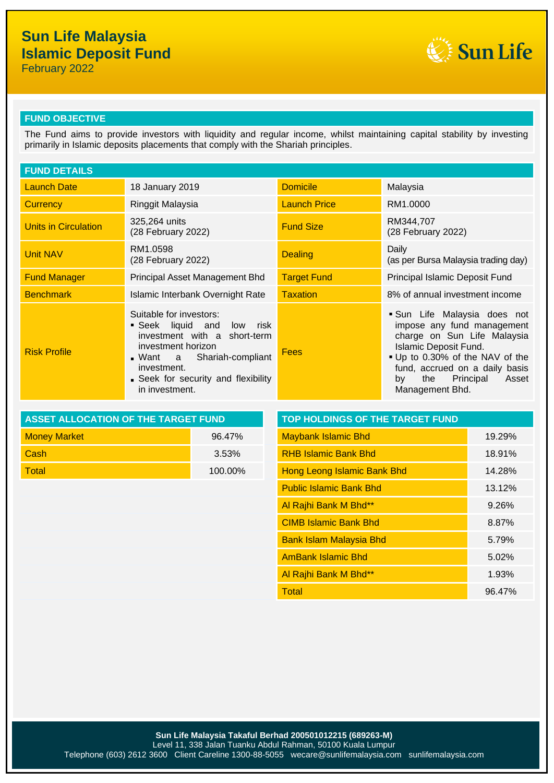# **Sun Life Malaysia Islamic Deposit Fund**

February 2022



### **FUND OBJECTIVE**

The Fund aims to provide investors with liquidity and regular income, whilst maintaining capital stability by investing primarily in Islamic deposits placements that comply with the Shariah principles.

| <b>FUND DETAILS</b>  |                                                                                                                                                                                                                 |                     |                                                                                                                                                                                                                                                    |  |
|----------------------|-----------------------------------------------------------------------------------------------------------------------------------------------------------------------------------------------------------------|---------------------|----------------------------------------------------------------------------------------------------------------------------------------------------------------------------------------------------------------------------------------------------|--|
| <b>Launch Date</b>   | 18 January 2019                                                                                                                                                                                                 | <b>Domicile</b>     | Malaysia                                                                                                                                                                                                                                           |  |
| <b>Currency</b>      | Ringgit Malaysia                                                                                                                                                                                                | <b>Launch Price</b> | RM1.0000                                                                                                                                                                                                                                           |  |
| Units in Circulation | 325,264 units<br>(28 February 2022)                                                                                                                                                                             | <b>Fund Size</b>    | RM344,707<br>(28 February 2022)                                                                                                                                                                                                                    |  |
| Unit NAV             | RM1.0598<br>(28 February 2022)                                                                                                                                                                                  | <b>Dealing</b>      | Daily<br>(as per Bursa Malaysia trading day)                                                                                                                                                                                                       |  |
| <b>Fund Manager</b>  | Principal Asset Management Bhd                                                                                                                                                                                  | <b>Target Fund</b>  | Principal Islamic Deposit Fund                                                                                                                                                                                                                     |  |
| <b>Benchmark</b>     | Islamic Interbank Overnight Rate                                                                                                                                                                                | <b>Taxation</b>     | 8% of annual investment income                                                                                                                                                                                                                     |  |
| <b>Risk Profile</b>  | Suitable for investors:<br>Seek liquid and low risk<br>investment with a short-term<br>investment horizon<br>. Want a Shariah-compliant<br>investment.<br>• Seek for security and flexibility<br>in investment. | <b>Fees</b>         | Sun Life Malaysia does not<br>impose any fund management<br>charge on Sun Life Malaysia<br><b>Islamic Deposit Fund.</b><br>. Up to 0.30% of the NAV of the<br>fund, accrued on a daily basis<br>Principal<br>the<br>Asset<br>by<br>Management Bhd. |  |

| ASSET ALLOCATION OF THE TARGET FUND | <b>TOP HOLDINGS OF THE TARGET FUND</b> |                                    |  |
|-------------------------------------|----------------------------------------|------------------------------------|--|
| <b>Money Market</b>                 | 96.47%                                 | <b>Maybank Islamic Bhd</b>         |  |
| <b>Cash</b>                         | 3.53%                                  | <b>RHB Islamic Bank Bhd</b>        |  |
| <b>Total</b>                        | 100 00%                                | <b>Hong Leong Islamic Bank Rhd</b> |  |

| <b>Maybank Islamic Bhd</b><br>19.29%<br><b>Money Market</b><br>96.47%<br><b>RHB Islamic Bank Bhd</b><br>Cash<br>18.91%<br>3.53%<br><b>Total</b><br>Hong Leong Islamic Bank Bhd<br>100.00%<br>14.28%<br><b>Public Islamic Bank Bhd</b><br>13.12%<br>Al Rajhi Bank M Bhd**<br>9.26%<br><b>CIMB Islamic Bank Bhd</b><br>8.87%<br><b>Bank Islam Malaysia Bhd</b><br>5.79%<br><b>AmBank Islamic Bhd</b><br>5.02%<br>Al Rajhi Bank M Bhd**<br>1.93%<br>96.47%<br><b>Total</b> | <b>ASSET ALLOCATION OF THE TARGET FUND</b> |  | TOP HOLDINGS OF THE TARGET FUND |  |  |  |
|-------------------------------------------------------------------------------------------------------------------------------------------------------------------------------------------------------------------------------------------------------------------------------------------------------------------------------------------------------------------------------------------------------------------------------------------------------------------------|--------------------------------------------|--|---------------------------------|--|--|--|
|                                                                                                                                                                                                                                                                                                                                                                                                                                                                         |                                            |  |                                 |  |  |  |
|                                                                                                                                                                                                                                                                                                                                                                                                                                                                         |                                            |  |                                 |  |  |  |
|                                                                                                                                                                                                                                                                                                                                                                                                                                                                         |                                            |  |                                 |  |  |  |
|                                                                                                                                                                                                                                                                                                                                                                                                                                                                         |                                            |  |                                 |  |  |  |
|                                                                                                                                                                                                                                                                                                                                                                                                                                                                         |                                            |  |                                 |  |  |  |
|                                                                                                                                                                                                                                                                                                                                                                                                                                                                         |                                            |  |                                 |  |  |  |
|                                                                                                                                                                                                                                                                                                                                                                                                                                                                         |                                            |  |                                 |  |  |  |
|                                                                                                                                                                                                                                                                                                                                                                                                                                                                         |                                            |  |                                 |  |  |  |
|                                                                                                                                                                                                                                                                                                                                                                                                                                                                         |                                            |  |                                 |  |  |  |
|                                                                                                                                                                                                                                                                                                                                                                                                                                                                         |                                            |  |                                 |  |  |  |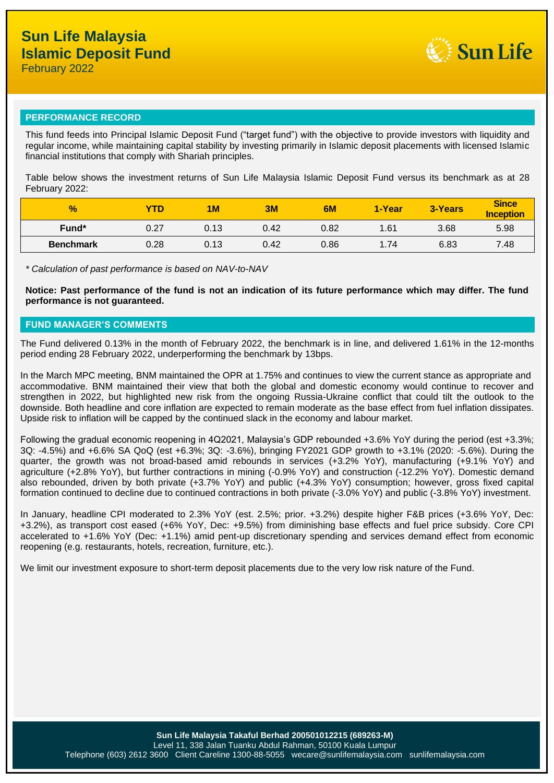

## **PERFORMANCE RECORD**

This fund feeds into Principal Islamic Deposit Fund ("target fund") with the objective to provide investors with liquidity and regular income, while maintaining capital stability by investing primarily in Islamic deposit placements with licensed Islamic financial institutions that comply with Shariah principles.

Table below shows the investment returns of Sun Life Malaysia Islamic Deposit Fund versus its benchmark as at 28 February 2022:

| $\frac{9}{6}$    | YTD  | 1 <sub>M</sub> | 3M   | 6M   | 1-Year | 3-Years | <b>Since</b><br><b>Inception</b> |
|------------------|------|----------------|------|------|--------|---------|----------------------------------|
| Fund*            | 0.27 | 0.13           | 0.42 | 0.82 | 1.61   | 3.68    | 5.98                             |
| <b>Benchmark</b> | 0.28 | 0.13           | 0.42 | 0.86 | 1.74   | 6.83    | 7.48                             |

*\* Calculation of past performance is based on NAV-to-NAV*

**Notice: Past performance of the fund is not an indication of its future performance which may differ. The fund performance is not guaranteed.**

#### **FUND MANAGER'S COMMENTS**

The Fund delivered 0.13% in the month of February 2022, the benchmark is in line, and delivered 1.61% in the 12-months period ending 28 February 2022, underperforming the benchmark by 13bps.

In the March MPC meeting, BNM maintained the OPR at 1.75% and continues to view the current stance as appropriate and accommodative. BNM maintained their view that both the global and domestic economy would continue to recover and strengthen in 2022, but highlighted new risk from the ongoing Russia-Ukraine conflict that could tilt the outlook to the downside. Both headline and core inflation are expected to remain moderate as the base effect from fuel inflation dissipates. Upside risk to inflation will be capped by the continued slack in the economy and labour market.

Following the gradual economic reopening in 4Q2021, Malaysia's GDP rebounded +3.6% YoY during the period (est +3.3%; 3Q: -4.5%) and +6.6% SA QoQ (est +6.3%; 3Q: -3.6%), bringing FY2021 GDP growth to +3.1% (2020: -5.6%). During the quarter, the growth was not broad-based amid rebounds in services (+3.2% YoY), manufacturing (+9.1% YoY) and agriculture (+2.8% YoY), but further contractions in mining (-0.9% YoY) and construction (-12.2% YoY). Domestic demand also rebounded, driven by both private (+3.7% YoY) and public (+4.3% YoY) consumption; however, gross fixed capital formation continued to decline due to continued contractions in both private (-3.0% YoY) and public (-3.8% YoY) investment.

In January, headline CPI moderated to 2.3% YoY (est. 2.5%; prior. +3.2%) despite higher F&B prices (+3.6% YoY, Dec: +3.2%), as transport cost eased (+6% YoY, Dec: +9.5%) from diminishing base effects and fuel price subsidy. Core CPI accelerated to +1.6% YoY (Dec: +1.1%) amid pent-up discretionary spending and services demand effect from economic reopening (e.g. restaurants, hotels, recreation, furniture, etc.).

We limit our investment exposure to short-term deposit placements due to the very low risk nature of the Fund.